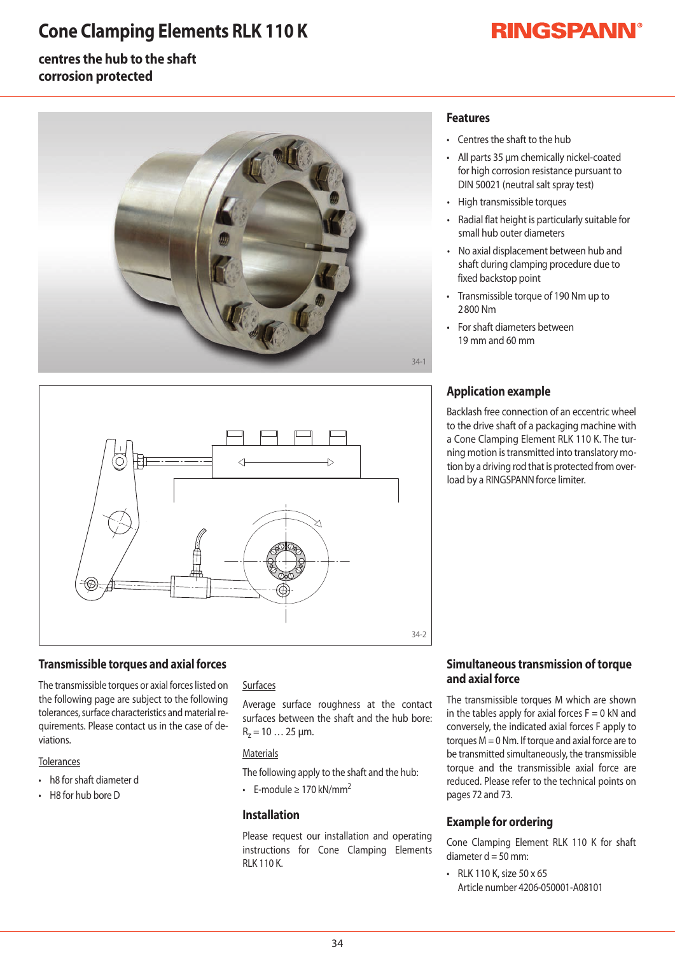### **Cone Clamping Elements RLK 110 K**

# **RINGSPANN®**

#### **centres the hub to the shaft corrosion protected**





#### **Transmissible torques and axial forces**

The transmissible torques or axial forces listed on the following page are subject to the following tolerances, surface characteristics and material requirements. Please contact us in the case of deviations.

#### **Tolerances**

- h8 for shaft diameter d
- $\cdot$  H8 for hub bore D

#### Surfaces

Average surface roughness at the contact surfaces between the shaft and the hub bore:  $R_z = 10...25 \mu m$ .

#### **Materials**

The following apply to the shaft and the hub:

• F-module > 170 kN/mm<sup>2</sup>

#### **Installation**

Please request our installation and operating instructions for Cone Clamping Elements-**RIK110K** 

#### **Features**

- Centres the shaft to the hub
- All parts 35 µm chemically nickel-coated for high corrosion resistance pursuant to DIN 50021 (neutral salt spray test)
- High transmissible torques
- Radial flat height is particularly suitable for small hub outer diameters
- No axial displacement between hub and shaft during clamping procedure due to fixed backstop point
- Transmissible torque of 190 Nm up to 2800Nm
- For shaft diameters between 19mmand60mm

#### **Application example**

Backlash free connection of an eccentric wheel to the drive shaft of a packaging machine with a Cone Clamping Element RLK 110 K. The turning motion is transmitted into translatory motion by a driving rod that is protected from overload by a RINGSPANN force limiter.

#### **Simultaneous transmission of torque and axial force**

The transmissible torques M which are shownin the tables apply for axial forces  $F=0$  kN and conversely, the indicated axial forces F apply to torques  $M = 0$  Nm. If torque and axial force are to be transmitted simultaneously, the transmissible torque and the transmissible axial force are reduced. Please refer to the technical points on pages 72 and 73.

#### **Example for ordering**

Cone Clamping Element RLK 110 K for shaft diameter  $d = 50$  mm:

 $\cdot$  RLK 110 K, size 50 x 65 Article number 4206-050001-A08101